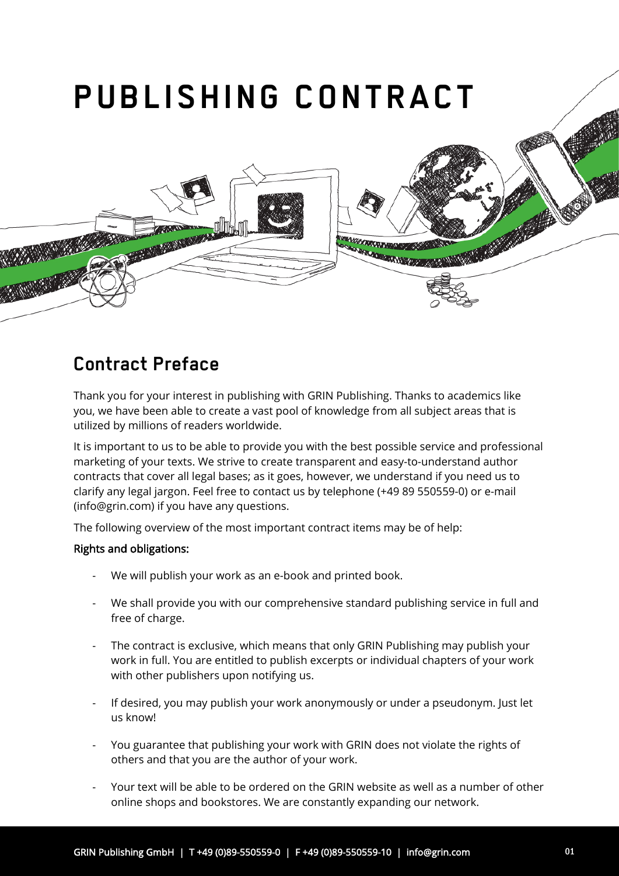

## **Contract Preface**

Thank you for your interest in publishing with GRIN Publishing. Thanks to academics like you, we have been able to create a vast pool of knowledge from all subject areas that is utilized by millions of readers worldwide.

It is important to us to be able to provide you with the best possible service and professional marketing of your texts. We strive to create transparent and easy-to-understand author contracts that cover all legal bases; as it goes, however, we understand if you need us to clarify any legal jargon. Feel free to contact us by telephone (+49 89 550559-0) or e-mail (info@grin.com) if you have any questions.

The following overview of the most important contract items may be of help:

#### Rights and obligations:

- We will publish your work as an e-book and printed book.
- We shall provide you with our comprehensive standard publishing service in full and free of charge.
- The contract is exclusive, which means that only GRIN Publishing may publish your work in full. You are entitled to publish excerpts or individual chapters of your work with other publishers upon notifying us.
- If desired, you may publish your work anonymously or under a pseudonym. Just let us know!
- You guarantee that publishing your work with GRIN does not violate the rights of others and that you are the author of your work.
- Your text will be able to be ordered on the GRIN website as well as a number of other online shops and bookstores. We are constantly expanding our network.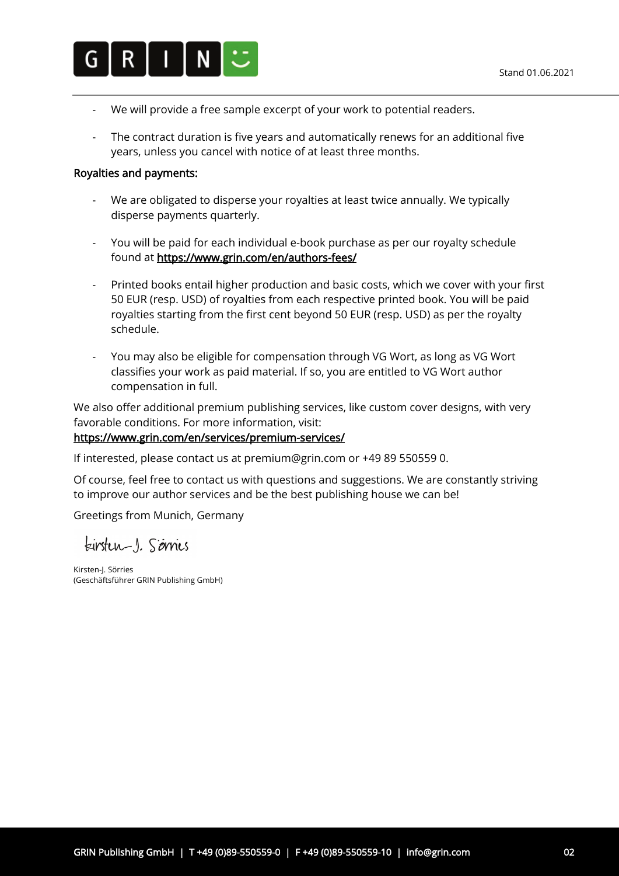

- We will provide a free sample excerpt of your work to potential readers.
- The contract duration is five years and automatically renews for an additional five years, unless you cancel with notice of at least three months.

#### Royalties and payments:

- We are obligated to disperse your royalties at least twice annually. We typically disperse payments quarterly.
- You will be paid for each individual e-book purchase as per our royalty schedule found at https://www.grin.com/en/authors-fees/
- Printed books entail higher production and basic costs, which we cover with your first 50 EUR (resp. USD) of royalties from each respective printed book. You will be paid royalties starting from the first cent beyond 50 EUR (resp. USD) as per the royalty schedule.
- You may also be eligible for compensation through VG Wort, as long as VG Wort classifies your work as paid material. If so, you are entitled to VG Wort author compensation in full.

We also offer additional premium publishing services, like custom cover designs, with very favorable conditions. For more information, visit:

#### https://www.grin.com/en/services/premium-services/

If interested, please contact us at premium@grin.com or +49 89 550559 0.

Of course, feel free to contact us with questions and suggestions. We are constantly striving to improve our author services and be the best publishing house we can be!

Greetings from Munich, Germany

kirsten-1. Sérries

Kirsten-J. Sörries (Geschäftsführer GRIN Publishing GmbH)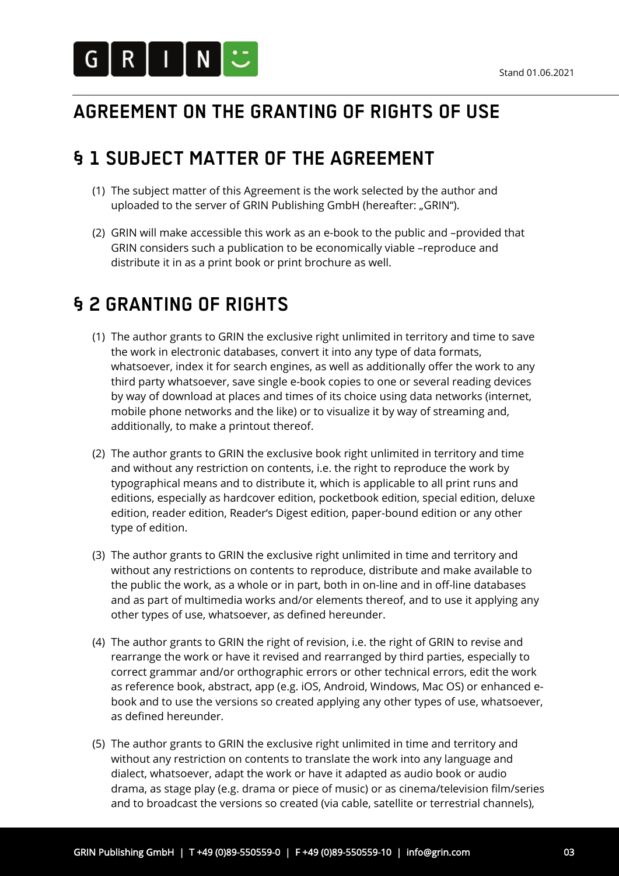

## **AGREEMENT ON THE GRANTING OF RIGHTS OF USE**

## **§ 1 SUBJECT MATTER OF THE AGREEMENT**

- (1) The subject matter of this Agreement is the work selected by the author and uploaded to the server of GRIN Publishing GmbH (hereafter: "GRIN").
- (2) GRIN will make accessible this work as an e-book to the public and –provided that GRIN considers such a publication to be economically viable –reproduce and distribute it in as a print book or print brochure as well.

## **§ 2 GRANTING OF RIGHTS**

- (1) The author grants to GRIN the exclusive right unlimited in territory and time to save the work in electronic databases, convert it into any type of data formats, whatsoever, index it for search engines, as well as additionally offer the work to any third party whatsoever, save single e-book copies to one or several reading devices by way of download at places and times of its choice using data networks (internet, mobile phone networks and the like) or to visualize it by way of streaming and, additionally, to make a printout thereof.
- (2) The author grants to GRIN the exclusive book right unlimited in territory and time and without any restriction on contents, i.e. the right to reproduce the work by typographical means and to distribute it, which is applicable to all print runs and editions, especially as hardcover edition, pocketbook edition, special edition, deluxe edition, reader edition, Reader's Digest edition, paper-bound edition or any other type of edition.
- (3) The author grants to GRIN the exclusive right unlimited in time and territory and without any restrictions on contents to reproduce, distribute and make available to the public the work, as a whole or in part, both in on-line and in off-line databases and as part of multimedia works and/or elements thereof, and to use it applying any other types of use, whatsoever, as defined hereunder.
- (4) The author grants to GRIN the right of revision, i.e. the right of GRIN to revise and rearrange the work or have it revised and rearranged by third parties, especially to correct grammar and/or orthographic errors or other technical errors, edit the work as reference book, abstract, app (e.g. iOS, Android, Windows, Mac OS) or enhanced ebook and to use the versions so created applying any other types of use, whatsoever, as defined hereunder.
- (5) The author grants to GRIN the exclusive right unlimited in time and territory and without any restriction on contents to translate the work into any language and dialect, whatsoever, adapt the work or have it adapted as audio book or audio drama, as stage play (e.g. drama or piece of music) or as cinema/television film/series and to broadcast the versions so created (via cable, satellite or terrestrial channels),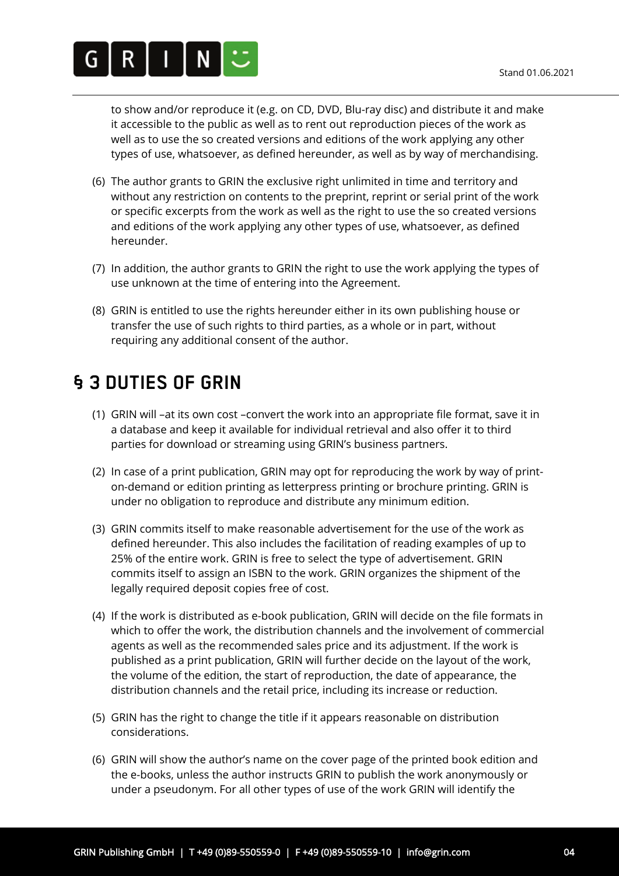

to show and/or reproduce it (e.g. on CD, DVD, Blu-ray disc) and distribute it and make it accessible to the public as well as to rent out reproduction pieces of the work as well as to use the so created versions and editions of the work applying any other types of use, whatsoever, as defined hereunder, as well as by way of merchandising.

- (6) The author grants to GRIN the exclusive right unlimited in time and territory and without any restriction on contents to the preprint, reprint or serial print of the work or specific excerpts from the work as well as the right to use the so created versions and editions of the work applying any other types of use, whatsoever, as defined hereunder.
- (7) In addition, the author grants to GRIN the right to use the work applying the types of use unknown at the time of entering into the Agreement.
- (8) GRIN is entitled to use the rights hereunder either in its own publishing house or transfer the use of such rights to third parties, as a whole or in part, without requiring any additional consent of the author.

## **§ 3 DUTIES OF GRIN**

- (1) GRIN will –at its own cost –convert the work into an appropriate file format, save it in a database and keep it available for individual retrieval and also offer it to third parties for download or streaming using GRIN's business partners.
- (2) In case of a print publication, GRIN may opt for reproducing the work by way of printon-demand or edition printing as letterpress printing or brochure printing. GRIN is under no obligation to reproduce and distribute any minimum edition.
- (3) GRIN commits itself to make reasonable advertisement for the use of the work as defined hereunder. This also includes the facilitation of reading examples of up to 25% of the entire work. GRIN is free to select the type of advertisement. GRIN commits itself to assign an ISBN to the work. GRIN organizes the shipment of the legally required deposit copies free of cost.
- (4) If the work is distributed as e-book publication, GRIN will decide on the file formats in which to offer the work, the distribution channels and the involvement of commercial agents as well as the recommended sales price and its adjustment. If the work is published as a print publication, GRIN will further decide on the layout of the work, the volume of the edition, the start of reproduction, the date of appearance, the distribution channels and the retail price, including its increase or reduction.
- (5) GRIN has the right to change the title if it appears reasonable on distribution considerations.
- (6) GRIN will show the author's name on the cover page of the printed book edition and the e-books, unless the author instructs GRIN to publish the work anonymously or under a pseudonym. For all other types of use of the work GRIN will identify the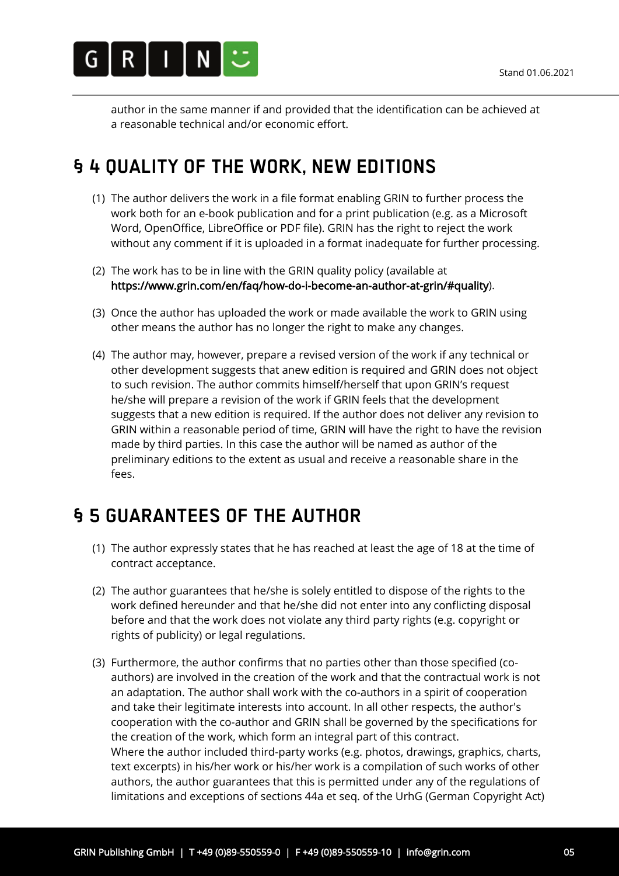

author in the same manner if and provided that the identification can be achieved at a reasonable technical and/or economic effort.

## **§ 4 QUALITY OF THE WORK, NEW EDITIONS**

- (1) The author delivers the work in a file format enabling GRIN to further process the work both for an e-book publication and for a print publication (e.g. as a Microsoft Word, OpenOffice, LibreOffice or PDF file). GRIN has the right to reject the work without any comment if it is uploaded in a format inadequate for further processing.
- (2) The work has to be in line with the GRIN quality policy (available at https://www.grin.com/en/faq/how-do-i-become-an-author-at-grin/#quality).
- (3) Once the author has uploaded the work or made available the work to GRIN using other means the author has no longer the right to make any changes.
- (4) The author may, however, prepare a revised version of the work if any technical or other development suggests that anew edition is required and GRIN does not object to such revision. The author commits himself/herself that upon GRIN's request he/she will prepare a revision of the work if GRIN feels that the development suggests that a new edition is required. If the author does not deliver any revision to GRIN within a reasonable period of time, GRIN will have the right to have the revision made by third parties. In this case the author will be named as author of the preliminary editions to the extent as usual and receive a reasonable share in the fees.

## **§ 5 GUARANTEES OF THE AUTHOR**

- (1) The author expressly states that he has reached at least the age of 18 at the time of contract acceptance.
- (2) The author guarantees that he/she is solely entitled to dispose of the rights to the work defined hereunder and that he/she did not enter into any conflicting disposal before and that the work does not violate any third party rights (e.g. copyright or rights of publicity) or legal regulations.
- (3) Furthermore, the author confirms that no parties other than those specified (coauthors) are involved in the creation of the work and that the contractual work is not an adaptation. The author shall work with the co-authors in a spirit of cooperation and take their legitimate interests into account. In all other respects, the author's cooperation with the co-author and GRIN shall be governed by the specifications for the creation of the work, which form an integral part of this contract. Where the author included third-party works (e.g. photos, drawings, graphics, charts, text excerpts) in his/her work or his/her work is a compilation of such works of other authors, the author guarantees that this is permitted under any of the regulations of limitations and exceptions of sections 44a et seq. of the UrhG (German Copyright Act)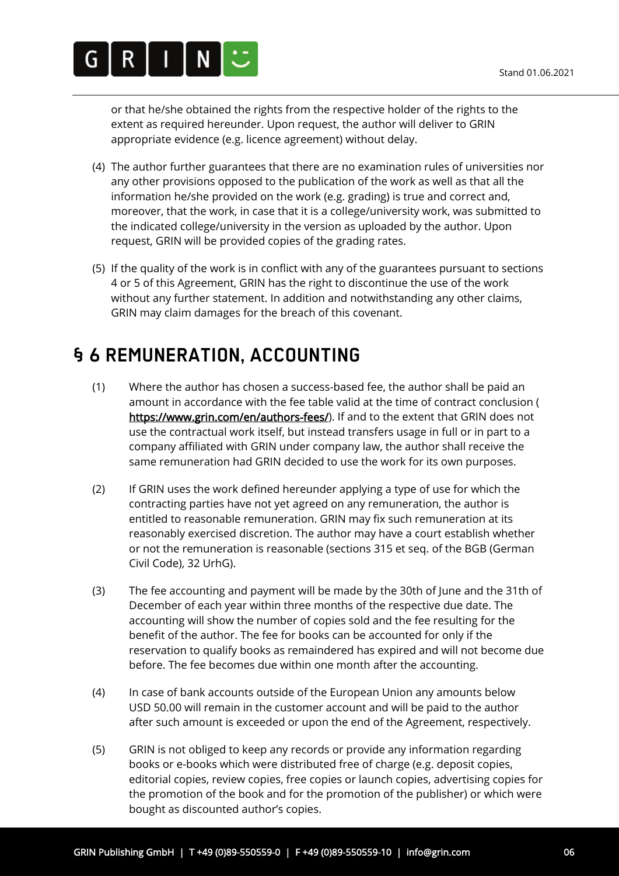

or that he/she obtained the rights from the respective holder of the rights to the extent as required hereunder. Upon request, the author will deliver to GRIN appropriate evidence (e.g. licence agreement) without delay.

- (4) The author further guarantees that there are no examination rules of universities nor any other provisions opposed to the publication of the work as well as that all the information he/she provided on the work (e.g. grading) is true and correct and, moreover, that the work, in case that it is a college/university work, was submitted to the indicated college/university in the version as uploaded by the author. Upon request, GRIN will be provided copies of the grading rates.
- (5) If the quality of the work is in conflict with any of the guarantees pursuant to sections 4 or 5 of this Agreement, GRIN has the right to discontinue the use of the work without any further statement. In addition and notwithstanding any other claims, GRIN may claim damages for the breach of this covenant.

## **§ 6 REMUNERATION, ACCOUNTING**

- (1) Where the author has chosen a success-based fee, the author shall be paid an amount in accordance with the fee table valid at the time of contract conclusion ( https://www.grin.com/en/authors-fees/). If and to the extent that GRIN does not use the contractual work itself, but instead transfers usage in full or in part to a company affiliated with GRIN under company law, the author shall receive the same remuneration had GRIN decided to use the work for its own purposes.
- (2) If GRIN uses the work defined hereunder applying a type of use for which the contracting parties have not yet agreed on any remuneration, the author is entitled to reasonable remuneration. GRIN may fix such remuneration at its reasonably exercised discretion. The author may have a court establish whether or not the remuneration is reasonable (sections 315 et seq. of the BGB (German Civil Code), 32 UrhG).
- (3) The fee accounting and payment will be made by the 30th of June and the 31th of December of each year within three months of the respective due date. The accounting will show the number of copies sold and the fee resulting for the benefit of the author. The fee for books can be accounted for only if the reservation to qualify books as remaindered has expired and will not become due before. The fee becomes due within one month after the accounting.
- (4) In case of bank accounts outside of the European Union any amounts below USD 50.00 will remain in the customer account and will be paid to the author after such amount is exceeded or upon the end of the Agreement, respectively.
- (5) GRIN is not obliged to keep any records or provide any information regarding books or e-books which were distributed free of charge (e.g. deposit copies, editorial copies, review copies, free copies or launch copies, advertising copies for the promotion of the book and for the promotion of the publisher) or which were bought as discounted author's copies.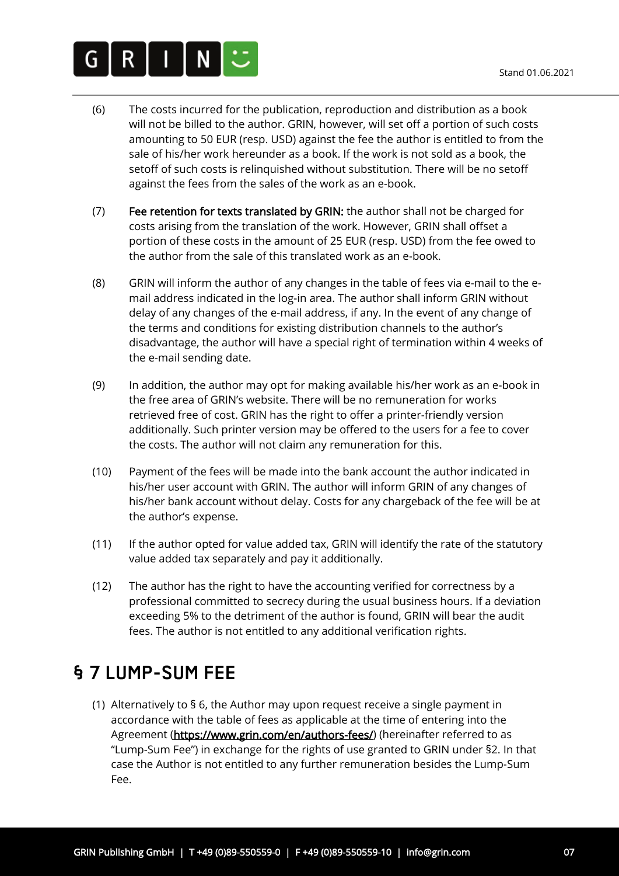

- (6) The costs incurred for the publication, reproduction and distribution as a book will not be billed to the author. GRIN, however, will set off a portion of such costs amounting to 50 EUR (resp. USD) against the fee the author is entitled to from the sale of his/her work hereunder as a book. If the work is not sold as a book, the setoff of such costs is relinquished without substitution. There will be no setoff against the fees from the sales of the work as an e-book.
- (7) Fee retention for texts translated by GRIN: the author shall not be charged for costs arising from the translation of the work. However, GRIN shall offset a portion of these costs in the amount of 25 EUR (resp. USD) from the fee owed to the author from the sale of this translated work as an e-book.
- (8) GRIN will inform the author of any changes in the table of fees via e-mail to the email address indicated in the log-in area. The author shall inform GRIN without delay of any changes of the e-mail address, if any. In the event of any change of the terms and conditions for existing distribution channels to the author's disadvantage, the author will have a special right of termination within 4 weeks of the e-mail sending date.
- (9) In addition, the author may opt for making available his/her work as an e-book in the free area of GRIN's website. There will be no remuneration for works retrieved free of cost. GRIN has the right to offer a printer-friendly version additionally. Such printer version may be offered to the users for a fee to cover the costs. The author will not claim any remuneration for this.
- (10) Payment of the fees will be made into the bank account the author indicated in his/her user account with GRIN. The author will inform GRIN of any changes of his/her bank account without delay. Costs for any chargeback of the fee will be at the author's expense.
- (11) If the author opted for value added tax, GRIN will identify the rate of the statutory value added tax separately and pay it additionally.
- (12) The author has the right to have the accounting verified for correctness by a professional committed to secrecy during the usual business hours. If a deviation exceeding 5% to the detriment of the author is found, GRIN will bear the audit fees. The author is not entitled to any additional verification rights.

## **§ 7 LUMP-SUM FEE**

(1) Alternatively to § 6, the Author may upon request receive a single payment in accordance with the table of fees as applicable at the time of entering into the Agreement (https://www.grin.com/en/authors-fees/) (hereinafter referred to as "Lump-Sum Fee") in exchange for the rights of use granted to GRIN under §2. In that case the Author is not entitled to any further remuneration besides the Lump-Sum Fee.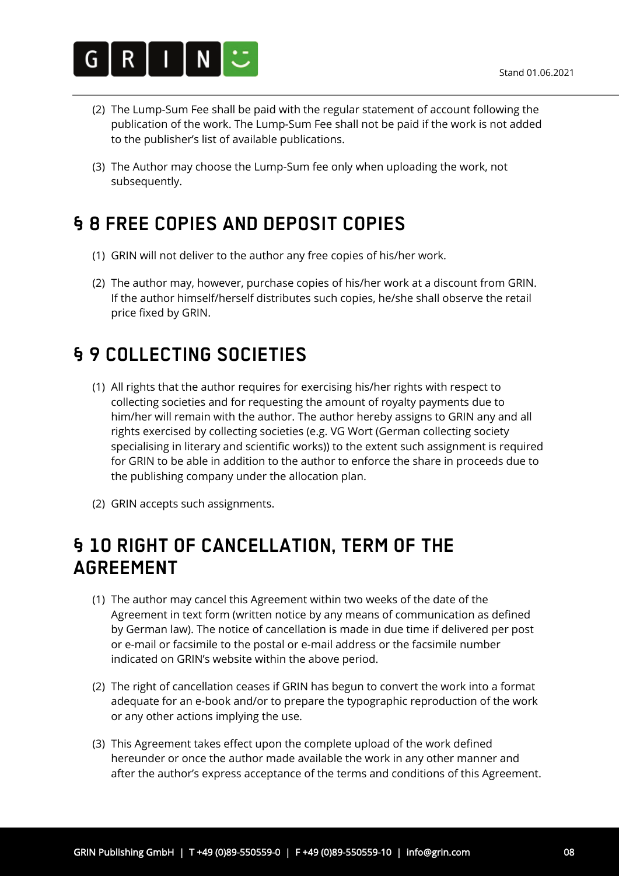

- (2) The Lump-Sum Fee shall be paid with the regular statement of account following the publication of the work. The Lump-Sum Fee shall not be paid if the work is not added to the publisher's list of available publications.
- (3) The Author may choose the Lump-Sum fee only when uploading the work, not subsequently.

# **§ 8 FREE COPIES AND DEPOSIT COPIES**

- (1) GRIN will not deliver to the author any free copies of his/her work.
- (2) The author may, however, purchase copies of his/her work at a discount from GRIN. If the author himself/herself distributes such copies, he/she shall observe the retail price fixed by GRIN.

## **§ 9 COLLECTING SOCIETIES**

- (1) All rights that the author requires for exercising his/her rights with respect to collecting societies and for requesting the amount of royalty payments due to him/her will remain with the author. The author hereby assigns to GRIN any and all rights exercised by collecting societies (e.g. VG Wort (German collecting society specialising in literary and scientific works)) to the extent such assignment is required for GRIN to be able in addition to the author to enforce the share in proceeds due to the publishing company under the allocation plan.
- (2) GRIN accepts such assignments.

### **§ 10 RIGHT OF CANCELLATION, TERM OF THE AGREEMENT**

- (1) The author may cancel this Agreement within two weeks of the date of the Agreement in text form (written notice by any means of communication as defined by German law). The notice of cancellation is made in due time if delivered per post or e-mail or facsimile to the postal or e-mail address or the facsimile number indicated on GRIN's website within the above period.
- (2) The right of cancellation ceases if GRIN has begun to convert the work into a format adequate for an e-book and/or to prepare the typographic reproduction of the work or any other actions implying the use.
- (3) This Agreement takes effect upon the complete upload of the work defined hereunder or once the author made available the work in any other manner and after the author's express acceptance of the terms and conditions of this Agreement.